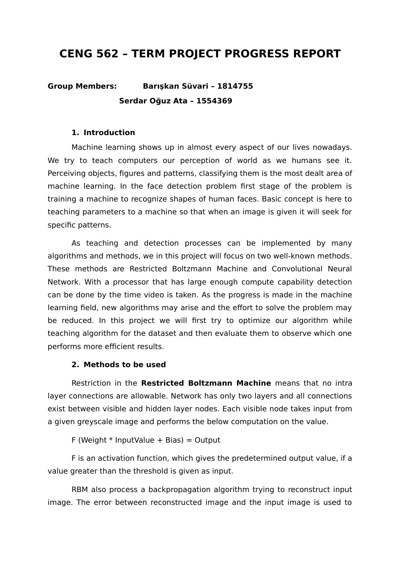# **CENG 562 – TERM PROJECT PROGRESS REPORT**

# **Group Members: Barışkan Süvari – 1814755 Serdar Oğuz Ata – 1554369**

#### **1. Introduction**

Machine learning shows up in almost every aspect of our lives nowadays. We try to teach computers our perception of world as we humans see it. Perceiving objects, figures and patterns, classifying them is the most dealt area of machine learning. In the face detection problem first stage of the problem is training a machine to recognize shapes of human faces. Basic concept is here to teaching parameters to a machine so that when an image is given it will seek for specific patterns.

As teaching and detection processes can be implemented by many algorithms and methods, we in this project will focus on two well-known methods. These methods are Restricted Boltzmann Machine and Convolutional Neural Network. With a processor that has large enough compute capability detection can be done by the time video is taken. As the progress is made in the machine learning field, new algorithms may arise and the effort to solve the problem may be reduced. In this project we will first try to optimize our algorithm while teaching algorithm for the dataset and then evaluate them to observe which one performs more efficient results.

#### **2. Methods to be used**

Restriction in the **Restricted Boltzmann Machine** means that no intra layer connections are allowable. Network has only two layers and all connections exist between visible and hidden layer nodes. Each visible node takes input from a given greyscale image and performs the below computation on the value.

F (Weight  $*$  InputValue + Bias) = Output

F is an activation function, which gives the predetermined output value, if a value greater than the threshold is given as input.

RBM also process a backpropagation algorithm trying to reconstruct input image. The error between reconstructed image and the input image is used to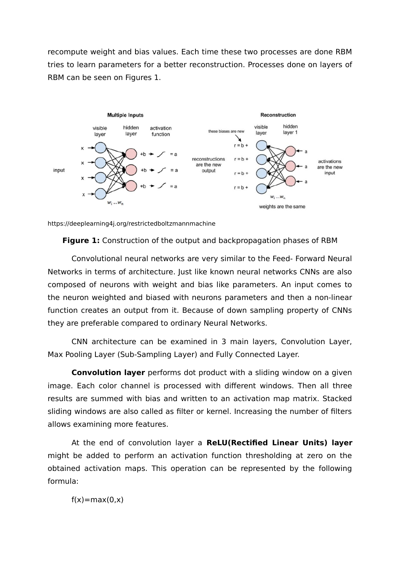recompute weight and bias values. Each time these two processes are done RBM tries to learn parameters for a better reconstruction. Processes done on layers of RBM can be seen on Figures 1.



https://deeplearning4j.org/restrictedboltzmannmachine

**Figure 1:** Construction of the output and backpropagation phases of RBM

Convolutional neural networks are very similar to the Feed- Forward Neural Networks in terms of architecture. Just like known neural networks CNNs are also composed of neurons with weight and bias like parameters. An input comes to the neuron weighted and biased with neurons parameters and then a non-linear function creates an output from it. Because of down sampling property of CNNs they are preferable compared to ordinary Neural Networks.

CNN architecture can be examined in 3 main layers, Convolution Layer, Max Pooling Layer (Sub-Sampling Layer) and Fully Connected Layer.

**Convolution layer** performs dot product with a sliding window on a given image. Each color channel is processed with different windows. Then all three results are summed with bias and written to an activation map matrix. Stacked sliding windows are also called as filter or kernel. Increasing the number of filters allows examining more features.

At the end of convolution layer a **ReLU(Rectified Linear Units) layer** might be added to perform an activation function thresholding at zero on the obtained activation maps. This operation can be represented by the following formula:

 $f(x)=max(0,x)$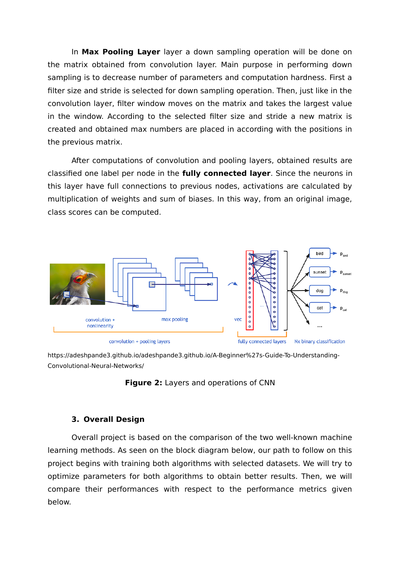In **Max Pooling Layer** layer a down sampling operation will be done on the matrix obtained from convolution layer. Main purpose in performing down sampling is to decrease number of parameters and computation hardness. First a filter size and stride is selected for down sampling operation. Then, just like in the convolution layer, filter window moves on the matrix and takes the largest value in the window. According to the selected filter size and stride a new matrix is created and obtained max numbers are placed in according with the positions in the previous matrix.

After computations of convolution and pooling layers, obtained results are classified one label per node in the **fully connected layer**. Since the neurons in this layer have full connections to previous nodes, activations are calculated by multiplication of weights and sum of biases. In this way, from an original image, class scores can be computed.



https://adeshpande3.github.io/adeshpande3.github.io/A-Beginner%27s-Guide-To-Understanding-Convolutional-Neural-Networks/



## **3. Overall Design**

Overall project is based on the comparison of the two well-known machine learning methods. As seen on the block diagram below, our path to follow on this project begins with training both algorithms with selected datasets. We will try to optimize parameters for both algorithms to obtain better results. Then, we will compare their performances with respect to the performance metrics given below.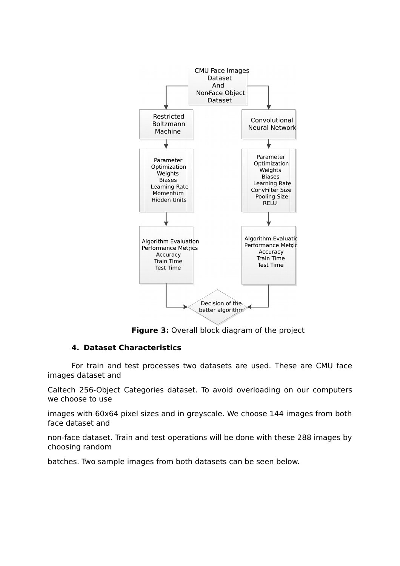

**Figure 3:** Overall block diagram of the project

## **4. Dataset Characteristics**

For train and test processes two datasets are used. These are CMU face images dataset and

Caltech 256-Object Categories dataset. To avoid overloading on our computers we choose to use

images with 60x64 pixel sizes and in greyscale. We choose 144 images from both face dataset and

non-face dataset. Train and test operations will be done with these 288 images by choosing random

batches. Two sample images from both datasets can be seen below.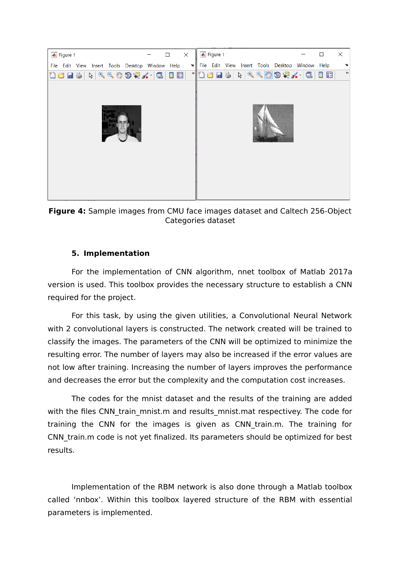

**Figure 4:** Sample images from CMU face images dataset and Caltech 256-Object Categories dataset

# **5. Implementation**

For the implementation of CNN algorithm, nnet toolbox of Matlab 2017a version is used. This toolbox provides the necessary structure to establish a CNN required for the project.

For this task, by using the given utilities, a Convolutional Neural Network with 2 convolutional layers is constructed. The network created will be trained to classify the images. The parameters of the CNN will be optimized to minimize the resulting error. The number of layers may also be increased if the error values are not low after training. Increasing the number of layers improves the performance and decreases the error but the complexity and the computation cost increases.

The codes for the mnist dataset and the results of the training are added with the files CNN train mnist.m and results mnist.mat respectivey. The code for training the CNN for the images is given as CNN\_train.m. The training for CNN train.m code is not yet finalized. Its parameters should be optimized for best results.

Implementation of the RBM network is also done through a Matlab toolbox called 'nnbox'. Within this toolbox layered structure of the RBM with essential parameters is implemented.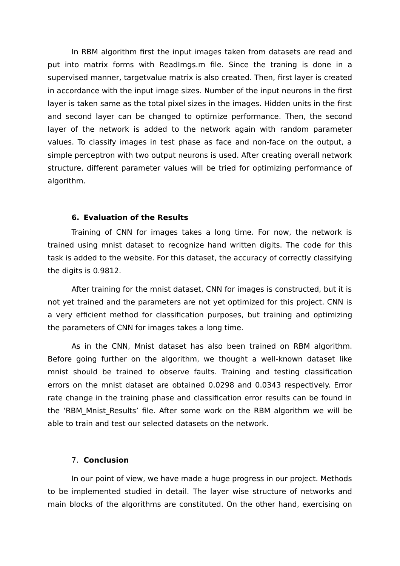In RBM algorithm first the input images taken from datasets are read and put into matrix forms with ReadImgs.m file. Since the traning is done in a supervised manner, targetvalue matrix is also created. Then, first layer is created in accordance with the input image sizes. Number of the input neurons in the first layer is taken same as the total pixel sizes in the images. Hidden units in the first and second layer can be changed to optimize performance. Then, the second layer of the network is added to the network again with random parameter values. To classify images in test phase as face and non-face on the output, a simple perceptron with two output neurons is used. After creating overall network structure, different parameter values will be tried for optimizing performance of algorithm.

#### **6. Evaluation of the Results**

Training of CNN for images takes a long time. For now, the network is trained using mnist dataset to recognize hand written digits. The code for this task is added to the website. For this dataset, the accuracy of correctly classifying the digits is 0.9812.

After training for the mnist dataset, CNN for images is constructed, but it is not yet trained and the parameters are not yet optimized for this project. CNN is a very efficient method for classification purposes, but training and optimizing the parameters of CNN for images takes a long time.

As in the CNN, Mnist dataset has also been trained on RBM algorithm. Before going further on the algorithm, we thought a well-known dataset like mnist should be trained to observe faults. Training and testing classification errors on the mnist dataset are obtained 0.0298 and 0.0343 respectively. Error rate change in the training phase and classification error results can be found in the 'RBM Mnist Results' file. After some work on the RBM algorithm we will be able to train and test our selected datasets on the network.

### 7. **Conclusion**

In our point of view, we have made a huge progress in our project. Methods to be implemented studied in detail. The layer wise structure of networks and main blocks of the algorithms are constituted. On the other hand, exercising on